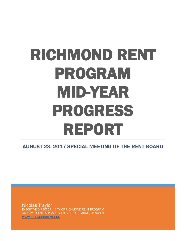# RICHMOND RENT PROGRAM MID-YEAR PROGRESS REPORT<br>
AUGUST 23, 2017 SPECIAL MEETING OF THE RENT BOARD

Nicolas Traylor EXECUTIVE DIRECTOR | CITY OF RICHMOND RENT PROGRAM 440 CIVIC CENTER PLAZA, SUITE 200, RICHMOND, CA 94804 [WWW.RICHMONDRENT.ORG](http://www.richmondrent.org/)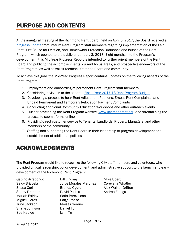# PURPOSE AND CONTENTS

At the inaugural meeting of the Richmond Rent Board, held on April 5, 2017, the Board received a [progress update f](http://www.ci.richmond.ca.us/DocumentCenter/View/42072)rom interim Rent Program staff members regarding implementation of the Fair Rent, Just Cause for Eviction, and Homeowner Protection Ordinance and launch of the Rent Program, which opened to the public on January 3, 2017. Eight months into the Program's development, this Mid-Year Progress Report is intended to further orient members of the Rent Board and public to the accomplishments, current focus areas, and prospective endeavors of the Rent Program, as well as solicit feedback from the Board and community.

To achieve this goal, the Mid-Year Progress Report contains updates on the following aspects of the Rent Program:

- 1. Employment and onboarding of permanent Rent Program staff members
- 2. Considering revisions to the adopted [Fiscal Year 2017-18 Rent Program Budget](http://www.ci.richmond.ca.us/DocumentCenter/View/42763)
- 3. Developing a process to hear Rent Adjustment Petitions, Excess Rent Complaints, and Unpaid Permanent and Temporary Relocation Payment Complaints
- 4. Conducting additional Community Education Workshops and other outreach events
- 5. Further developing the Rent Program website [\(www.richmondrent.org\)](http://www.richmondrent.org/) and streamlining the process to submit forms online
- 6. Providing direct customer service to Tenants, Landlords, Property Managers, and other members of the community
- 7. Staffing and supporting the Rent Board in their leadership of program development and establishment of additional policies

# ACKNOWLEDGMENTS

The Rent Program would like to recognize the following City staff members and volunteers, who provided critical leadership, policy development, and administrative support to the launch and early development of the Richmond Rent Program:

| Gabino Arredondo      |
|-----------------------|
| Saidy Brizuela        |
| Shasa Curl            |
| <b>Sherry Drobner</b> |
| <b>Mariah Fairley</b> |
| <b>Miguel Flores</b>  |
| Trina Jackson         |
| Shané Johnson         |
| Sue Kadlec            |
|                       |

o Bill Lindsay Mike Uberti Jorge Morales Martinez Coreyana Whatley Brenda Ogutu **Alex Walker-Griffen** David Padilla **Andrea Zuniga** Sofia Perez-Leon Paige Roosa Moises Serano Daniel Tu Lynn Tu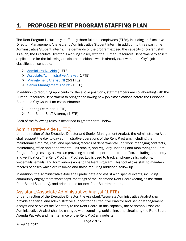# 1. PROPOSED RENT PROGRAM STAFFING PLAN

The Rent Program is currently staffed by three full-time employees (FTEs), including an Executive Director, Management Analyst, and Administrative Student Intern, in addition to three part-time Administrative Student Interns. The demands of the program exceed the capacity of current staff. As such, the Executive Director is working closely with the Human Resources Department to solicit applications for the following anticipated positions, which already exist within the City's job classification schedule:

- $\triangleright$  [Administrative Aide](http://www.ci.richmond.ca.us/DocumentCenter/View/1145) (1 FTE)
- $\triangleright$  [Associate/Administrative Analyst](http://www.ci.richmond.ca.us/DocumentCenter/View/5186) (1 FTE)
- [Management Analyst I/II](http://www.ci.richmond.ca.us/DocumentCenter/View/1995) (2-3 FTEs)
- $\triangleright$  [Senior Management Analyst](http://www.ci.richmond.ca.us/DocumentCenter/View/4439) (1 FTE)

In addition to recruiting applicants for the above positions, staff members are collaborating with the Human Resources Department to bring the following new job classifications before the Personnel Board and City Council for establishment:

- $\triangleright$  Hearing Examiner (1 FTE)
- $\triangleright$  Rent Board Staff Attorney (1 FTE)

Each of the following roles is described in greater detail below.

#### Administrative Aide (1 FTE)

Under direction of the Executive Director and Senior Management Analyst, the Administrative Aide shall support the day-to-day administrative operations of the Rent Program, including the maintenance of time, cost, and operating records of departmental unit work, managing contracts, maintaining office and departmental unit stocks, and regularly updating and monitoring the Rent Program Progress Log, as well as providing clerical support to the front office, including data entry and verification. The Rent Program Progress Log is used to track all phone calls, walk-ins, voicemails, emails, and form submissions to the Rent Program. This tool allows staff to maintain records of cases which are resolved and those requiring additional follow up.

In addition, the Administrative Aide shall participate and assist with special events, including community engagement workshops, meetings of the Richmond Rent Board (acting as assistant Rent Board Secretary), and orientations for new Rent Boardmembers.

#### Assistant/Associate Administrative Analyst (1 FTE)

Under direction of the Executive Director, the Assistant/Associate Administrative Analyst shall provide analytical and administrative support to the Executive Director and Senior Management Analyst and serve as the Secretary to the Rent Board. In this capacity, the Assistant/Associate Administrative Analyst shall be changed with compiling, publishing, and circulating the Rent Board Agenda Packets and maintenance of the Rent Program website.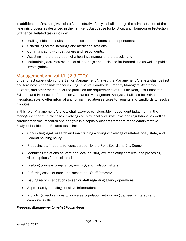In addition, the Assistant/Associate Administrative Analyst shall manage the administration of the hearings process as described in the Fair Rent, Just Cause for Eviction, and Homeowner Protection Ordinance. Related tasks include:

- Mailing initial and subsequent notices to petitioners and respondents;
- Scheduling formal hearings and mediation sessions;
- Communicating with petitioners and respondents;
- Assisting in the preparation of a hearings manual and protocols; and
- Maintaining accurate records of all hearings and decisions for internal use as well as public investigation.

## Management Analyst I/II (2-3 FTEs)

Under direct supervision of the Senior Management Analyst, the Management Analysts shall be first and foremost responsible for counseling Tenants, Landlords, Property Managers, Attorneys, Relators, and other members of the public on the requirements of the Fair Rent, Just Cause for Eviction, and Homeowner Protection Ordinance. Management Analysts shall also be trained mediators, able to offer informal and formal mediation services to Tenants and Landlords to resolve disputes.

In this role, Management Analysts shall exercise considerable independent judgement in the management of multiple cases involving complex local and State laws and regulations, as well as conduct technical research and analysis in a capacity distinct from that of the Administrative Analyst classification. Related tasks include:

- Conducting legal research and maintaining working knowledge of related local, State, and Federal housing policy;
- Producing staff reports for consideration by the Rent Board and City Council;
- Identifying violations of State and local housing law, mediating conflicts, and proposing viable options for consideration;
- Drafting courtesy compliance, warning, and violation letters;
- Referring cases of noncompliance to the Staff Attorney;
- Issuing recommendations to senior staff regarding agency operations;
- Appropriately handling sensitive information; and,
- Providing direct services to a diverse population with varying degrees of literacy and computer skills.

#### Proposed Management Analyst Focus Areas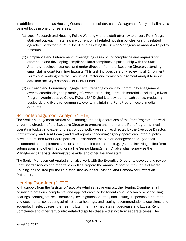In addition to their role as Housing Counselor and mediator, each Management Analyst shall have a defined focus in one of three areas:

- (1) Legal Research and Housing Policy: Working with the staff attorney to ensure Rent Program staff and outreach materials are current on all related housing policies; drafting related agenda reports for the Rent Board, and assisting the Senior Management Analyst with policy research.
- (2) Compliance and Enforcement: Investigating cases of noncompliance and requests for exemption and developing compliance letter templates in partnership with the Staff Attorney. In select instances, and under direction from the Executive Director, attending small claims court for minor lawsuits. This task includes carefully reviewing all Enrollment Forms and working with the Executive Director and Senior Management Analyst to input data into the City's database of Rental Units.
- (3) Outreach and Community Engagement: Preparing content for community engagement events, coordinating the planning of events, producing outreach materials, including a Rent Program Administrative Guide, FAQs, LEAP Digital Literacy learner web series, producing postcards and flyers for community events, maintaining Rent Program social media accounts.

## Senior Management Analyst (1 FTE)

The Senior Management Analyst shall manage the daily operations of the Rent Program and work under the direction of the Executive Director to prepare and monitor the Rent Program annual operating budget and expenditures; conduct policy research as directed by the Executive Director, Staff Attorney, and Rent Board; and draft reports concerning agency operations, internal policy development, and Rent Board policies. Furthermore, the Senior Management Analyst shall recommend and implement solutions to streamline operations (e.g. systems involving online form submissions and other IT solutions.) The Senior Management Analyst shall supervise the Management Analysts, Administrative Aide, and other assigned staff.

The Senior Management Analyst shall also work with the Executive Director to develop and review Rent Board agendas and reports, as well as prepare the Annual Report on the Status of Rental Housing, as required per the Fair Rent, Just Cause for Eviction, and Homeowner Protection Ordinance.

## Hearing Examiner (1 FTE)

With support from the Assistant/Associate Administrative Analyst, the Hearing Examiner shall adjudicate petitions, complaints, and applications filed by Tenants and Landlords by scheduling hearings, sending notices, conducting investigations, drafting and issuing subpoenas for parties and documents, conducting administrative hearings, and issuing recommendations, decisions, and addenda. In select cases, the Hearing Examiner may mediate rent decrease and Excess Rent Complaints and other rent control-related disputes that are distinct from separate cases. The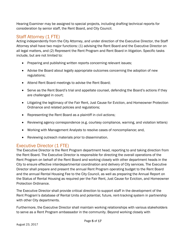Hearing Examiner may be assigned to special projects, including drafting technical reports for consideration by senior staff, the Rent Board, and City Council.

## Staff Attorney (1 FTE)

Acting independently from the City Attorney, and under direction of the Executive Director, the Staff Attorney shall have two major functions: (1) advising the Rent Board and the Executive Director on all legal matters, and (2) Represent the Rent Program and Rent Board in litigation. Specific tasks include, but are not limited to:

- Preparing and publishing written reports concerning relevant issues;
- Advise the Board about legally appropriate outcomes concerning the adoption of new regulations;
- Attend Rent Board meetings to advise the Rent Board;
- Serve as the Rent Board's trial and appellate counsel, defending the Board's actions if they are challenged in court;
- Litigating the legitimacy of the Fair Rent, Just Cause for Eviction, and Homeowner Protection Ordinance and related policies and regulations;
- Representing the Rent Board as a plaintiff in civil actions;
- Reviewing agency correspondence (e.g. courtesy compliance, warning, and violation letters)
- Working with Management Analysts to resolve cases of noncompliance; and,
- Reviewing outreach materials prior to dissemination.

## Executive Director (1 FTE)

The Executive Director is the Rent Program department head, reporting to and taking direction from the Rent Board. The Executive Director is responsible for directing the overall operations of the Rent Program on behalf of the Rent Board and working closely with other department heads in the City to ensure effective interdepartmental coordination and delivery of City services. The Executive Director shall prepare and present the annual Rent Program operating budget to the Rent Board and the annual Rental Housing Fee to the City Council, as well as preparing the Annual Report on the Status of Rental Housing as required per the Fair Rent, Just Cause for Eviction, and Homeowner Protection Ordinance.

The Executive Director shall provide critical direction to support staff in the development of the Rent Program's database of Rental Units and potential, future, rent-tracking system in partnership with other City departments.

Furthermore, the Executive Director shall maintain working relationships with various stakeholders to serve as a Rent Program ambassador in the community. Beyond working closely with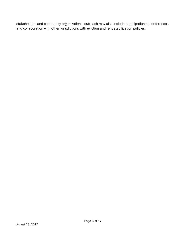stakeholders and community organizations, outreach may also include participation at conferences and collaboration with other jurisdictions with eviction and rent stabilization policies.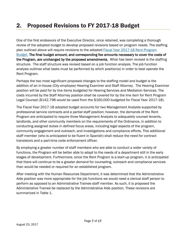# 2. Proposed Revisions to FY 2017-18 Budget

One of the first endeavors of the Executive Director, once retained, was completing a thorough review of the adopted budget to develop proposed revisions based on program needs. The staffing plan outlined above will require revisions to the adopted **Fiscal Year 2017-18 Rent Program** [Budget.](http://www.ci.richmond.ca.us/DocumentCenter/View/42763) The final budget amount, and corresponding fee amounts necessary to cover the costs of the Program, are unchanged by the proposed amendments. What has been revised is the staffing structure. The staff structure was revised based on a job function analysis. The job function analysis outlines what tasks must be performed by which position(s) in order to best operate the Rent Program.

Perhaps the two most significant proposed changes to the staffing model and budget is the addition of an in-house (City employee) Hearing Examiner and Staff Attorney. The Hearing Examiner position will be paid for by line items budgeted for Hearing Services and Mediation Services. The costs incurred by the Staff Attorney position shall be covered for by the line item for Rent Program Legal Counsel (\$142,798 would be used from the \$160,000 budgeted for Fiscal Year 2017-18).

The Fiscal Year 2017-18 adopted budget accounts for two Management Analysts supported by professional service contracts and a partial staff position; however, the demands of the Rent Program are anticipated to require three Management Analysts to adequately counsel tenants, landlords, and other community members on the requirements of the Ordinance, in addition to conducting assigned duties in defined focus areas, including legal aspects of the program, community engagement and outreach, and investigations and compliance efforts. This additional staff member (who is anticipated to be fluent in Spanish) shall reduce the need for contract translators and a part-time code enforcement officer.

By employing a greater number of staff members who are able to conduct a wider variety of functions, the Program will be better able to adapt to the needs of a department still in the early stages of development. Furthermore, since the Rent Program is a start-up program, it is anticipated that there will continue to be a greater demand for counseling, outreach and compliance services than would be needed or required for an established program.

After meeting with the Human Resources Department, it was determined that the Administrative Aide position was more appropriate for the job functions we would need a clerical staff person to perform as opposed to an Administrative Trainee staff member. As such, it is proposed the Administrative Trainee be replaced by the Administrative Aide position. These revisions are summarized in Table 1.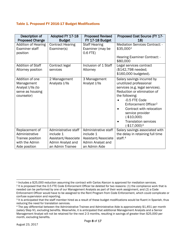#### Table 1. Proposed FY 2016-17 Budget Modifications

| Description of<br><b>Proposed Change</b>                                                | Adopted FY 17-18<br><b>Budget</b>                                                                 | <b>Proposed Revised</b><br>FY 17-18 Budget                                                     | Proposed Cost Source (FY 17-<br>18)                                                                                                                                                                                                                                                                            |
|-----------------------------------------------------------------------------------------|---------------------------------------------------------------------------------------------------|------------------------------------------------------------------------------------------------|----------------------------------------------------------------------------------------------------------------------------------------------------------------------------------------------------------------------------------------------------------------------------------------------------------------|
| <b>Addition of Hearing</b><br><b>Examiner staff</b><br>position                         | <b>Contract Hearing</b><br>Examiner(s)                                                            | <b>Staff Hearing</b><br>Examiner (may be<br>$0.6$ FTE)                                         | <b>Mediation Services Contract: -</b><br>\$35,0001<br><b>Hearing Examiner Contract: -</b><br>\$80,000                                                                                                                                                                                                          |
| <b>Addition of Staff</b><br>Attorney position                                           | Contract legal<br>services                                                                        | Inclusion of 1 Staff<br>Attorney                                                               | Legal services contract<br>(\$142,798 needed;<br>\$160,000 budgeted).                                                                                                                                                                                                                                          |
| Addition of one<br>Management<br>Analyst I/IIs (to<br>serve as housing<br>counselor)    | 2 Management<br>Analysts I/IIs                                                                    | 3 Management<br>Analyst I/IIs                                                                  | Salary savings incurred by<br>unutilized professional<br>services (e.g. legal services).<br>Reduction or elimination of<br>the following:<br>-0.5 FTE Code<br>Enforcement Officer <sup>2</sup><br>Contract with relocation<br>service provider<br>$(-$10,000)$<br><b>Translation services</b><br>$(-$17,000)3$ |
| Replacement of<br>Administrative<br>Trainee position<br>with the Admin<br>Aide position | Administrative staff<br>include 1<br>Assistant/Associate<br>Admin Analyst and<br>an Admin Trainee | Administrative staff<br>include 1<br>Assistant/Associate<br>Admin Analyst and<br>an Admin Aide | Salary savings associated with<br>the delay in retaining full time<br>staff. <sup>4</sup>                                                                                                                                                                                                                      |

 $\overline{a}$ 

<span id="page-8-0"></span><sup>1</sup> Includes a \$25,000 reduction assuming the contract with Carlos Alarcon is approved for mediation services.

<span id="page-8-1"></span><sup>&</sup>lt;sup>2</sup> It is proposed that the 0.5 FTE Code Enforcement Officer be deleted for two reasons: (1) the compliance work that is needed can be performed by one of our Management Analysts as part of their work assignment, and (2) a Code Enforcement Officer would have to be assigned to the Rent Program from Code Enforcement, which could complicate or confuse supervision and reporting.

<span id="page-8-2"></span><sup>&</sup>lt;sup>3</sup> It is anticipated that the staff member hired as a result of these budget modifications would be fluent in Spanish, thus reducing the need for translation services.

<span id="page-8-3"></span><sup>4</sup> The pay differential between the Administrative Trainee and Administrative Aide is approximately \$1,451 per month (salary Step IV), excluding benefits. Meanwhile, it is anticipated that additional Management Analysts and a Senior Management Analyst will not be retained for the next 2-3 months, resulting in savings of greater than \$25,000 per month, excluding benefits.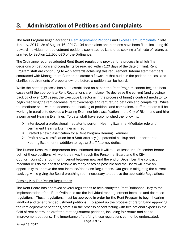# 3. Administration of Petitions and Complaints

The Rent Program began accepting [Rent Adjustment Petitions](http://www.ci.richmond.ca.us/FormCenter/Rent-Program-9/Interim-Petition-for-Maximum-Allowable-R-59) and [Excess Rent Complaints](http://www.ci.richmond.ca.us/FormCenter/Rent-Program-9/Interim-Excess-Rent-Complaint-Form-60) in late January, 2017. As of August 16, 2017, 104 complaints and petitions have been filed, including 49 upward individual rent adjustment petitions submitted by Landlords seeking a fair rate of return, as granted by Section 11.100.070 of the Ordinance.

The Ordinance requires adopted Rent Board regulations provide for a process in which final decisions on petitions and complaints be reached within 120 days of the date of filing. Rent Program staff are continuing to work towards achieving this requirement. Interim staff members contracted with Management Partners to create a flowchart that outlines the petition process and clarifies requirements of property owners before a petition can be heard.

While the petition process has been established on paper, the Rent Program cannot begin to hear cases until the appropriate Rent Regulations are in place. To decrease the current (and growing) backlog of over 100 cases, the Executive Director is in the process of hiring a contract mediator to begin resolving the rent decrease, rent overcharge and rent refund petitions and complaints. While the mediator shall work to decrease the backlog of petitions and complaints, staff members will be working in parallel to develop a Hearing Examiner job classification in the City of Richmond and hire a permanent Hearing Examiner. To date, staff have accomplished the following:

- Interviewed a professional mediator to perform Hearing Examiner/Mediator role until permanent Hearing Examiner is hired
- $\triangleright$  Drafted a new classification for a Rent Program Hearing Examiner
- $\triangleright$  Draft a new classification for a Staff Attorney (as potential backup and support to the Hearing Examiner) in addition to regular Staff Attorney duties

The Human Resources department has estimated that it will take at least until December before both of these positions will work their way through the Personnel Board and the City Council. During the four-month period between now and the end of December, the contract mediator will do their best to resolve as many cases as possible and the Board will have an opportunity to approve the rent increase/decrease Regulations. Our goal is mitigating the current backlog, while giving the Board breathing room necessary to approve the applicable Regulations.

#### Passing Key Fair Return Regulations

The Rent Board has approved several regulations to help clarify the Rent Ordinance. Key to the implementation of the Rent Ordinance are the individual rent adjustment increase and decrease regulations. These regulations must be approved in order for the Rent Program to begin hearing landlord and tenant rent adjustment petitions. To speed up the process of drafting and approving the rent adjustment petitions, staff is in the process of contracting with two national experts in the field of rent control, to draft the rent adjustment petitions, including fair return and capital improvement petitions. The importance of drafting these regulations cannot be understated.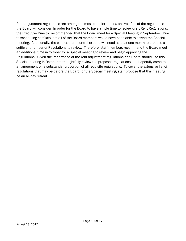Rent adjustment regulations are among the most complex and extensive of all of the regulations the Board will consider. In order for the Board to have ample time to review draft Rent Regulations, the Executive Director recommended that the Board meet for a Special Meeting in September. Due to scheduling conflicts, not all of the Board members would have been able to attend the Special meeting. Additionally, the contract rent control experts will need at least one month to produce a sufficient number of Regulations to review. Therefore, staff members recommend the Board meet an additional time in October for a Special meeting to review and begin approving the Regulations. Given the importance of the rent adjustment regulations, the Board should use this Special meeting in October to thoughtfully review the proposed regulations and hopefully come to an agreement on a substantial proportion of all requisite regulations. To cover the extensive list of regulations that may be before the Board for the Special meeting, staff propose that this meeting be an all-day retreat.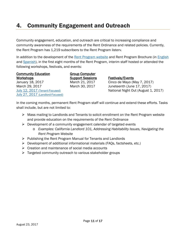# 4. Community Engagement and Outreach

Community engagement, education, and outreach are critical to increasing compliance and community awareness of the requirements of the Rent Ordinance and related policies. Currently, the Rent Program has 1,219 subscribers to the Rent Program listerv.

In addition to the development of the [Rent Program website](http://www.ci.richmond.ca.us/3364/Richmond-Rent-Program) and Rent Program Brochure (in [English](http://www.ci.richmond.ca.us/DocumentCenter/View/41142) and [Spanish\)](http://www.ci.richmond.ca.us/DocumentCenter/View/41240), in the first eight months of the Rent Program, interim staff hosted or attended the following workshops, festivals, and events:

Community Education Workshops March 29, 2017 March 30, 2017 Juneteenth (June 17, 2017) [July 27, 2017 \(Landlord-Focused\)](http://www.ci.richmond.ca.us/DocumentCenter/View/43386)

Group Computer **Support Sessions Festivals/Events**<br>March 21, 2017 Cinco de Mayo (N

January 18, 2017 March 21, 2017 Cinco de Mayo (May 7, 2017) [July 12, 2017](http://www.ci.richmond.ca.us/DocumentCenter/View/43056) (Tenant-Focused) National Night Out (August 1, 2017)

In the coming months, permanent Rent Program staff will continue and extend these efforts. Tasks shall include, but are not limited to:

- $\triangleright$  Mass mailing to Landlords and Tenants to solicit enrollment on the Rent Program website and provide education on the requirements of the Rent Ordinance
- $\triangleright$  Development of a community engagement calendar of targeted events
	- o *Examples: California Landlord 101, Addressing Habitability Issues, Navigating the Rent Program Website*
- $\triangleright$  Publishing the Rent Program Manual for Tenants and Landlords
- $\triangleright$  Development of additional informational materials (FAOs, factsheets, etc.)
- $\triangleright$  Creation and maintenance of social media accounts
- $\triangleright$  Targeted community outreach to various stakeholder groups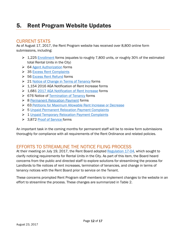## 5. Rent Program Website Updates

### CURRENT STATS

As of August 17, 2017, the Rent Program website has received over 8,800 online form submissions, including:

- $\geq 1,225$  [Enrollment](http://www.ci.richmond.ca.us/FormCenter/Rent-Program-9/INTERIM-2017-RENT-PROGRAM-ENROLLMENT-FOR-56) forms (equates to roughly 7,800 units, or roughly 30% of the estimated total Rental Units in the City)
- ▶ 64 [Agent Authorization](http://www.ci.richmond.ca.us/FormCenter/Rent-Program-9/Interim-2017-Rent-Program-Agent-Authoriz-63) forms
- ▶ 35 [Excess Rent Complaints](http://www.ci.richmond.ca.us/FormCenter/Rent-Program-9/Interim-Excess-Rent-Complaint-Form-60)
- ▶ 56 [Excess Rent Refund](http://www.ci.richmond.ca.us/FormCenter/Rent-Program-9/Interim-Excess-Rent-Refund-Form-For-Land-69) forms
- **► 21 [Notice of Change in Terms of Tenancy](http://www.ci.richmond.ca.us/FormCenter/Rent-Program-9/Interim-Notice-of-Change-in-Terms-of-Ten-74) forms**
- $\geq 1,154$  2016 AGA Notification of Rent Increase forms
- ▶ 1,681 [2017 AGA Notification of Rent Increase](http://www.ci.richmond.ca.us/FormCenter/Rent-Program-9/Interim-Notice-of-Rent-Increase-For-Rent-77) forms
- ▶ 676 Notice of [Termination of Tenancy](http://www.ci.richmond.ca.us/FormCenter/Rent-Program-9/Interim-Online-Notice-of-Termination-of--62) forms
- ▶ 8 [Permanent Relocation Payment](http://www.ci.richmond.ca.us/FormCenter/Rent-Program-9/Interim-Permanent-Relocation-Payment-For-72) forms
- ▶ 63 [Petitions for Maximum Allowable Rent Increase or Decrease](http://www.ci.richmond.ca.us/FormCenter/Rent-Program-9/Interim-Petition-for-Maximum-Allowable-R-59)
- ▶ 5 [Unpaid Permanent Relocation Payment](http://www.ci.richmond.ca.us/FormCenter/Rent-Program-9/Interim-Unpaid-Permanent-Relocation-Paym-71) Complaints
- ▶ 1 [Unpaid Temporary Relocation Payment Complaints](http://www.ci.richmond.ca.us/FormCenter/Rent-Program-9/Interim-Unpaid-Temporary-Relocation-Paym-68)
- 3,872 [Proof of Service f](http://www.ci.richmond.ca.us/FormCenter/Rent-Program-9/PROOF-OF-SERVICE-58)orms

An important task in the coming months for permanent staff will be to review form submissions thoroughly for compliance with all requirements of the Rent Ordinance and related policies.

## EFFORTS TO STREAMLINE THE NOTICE FILING PROCESS

At their meeting on July 19, 2017, the Rent Board adopted [Regulation 17-04,](http://www.ci.richmond.ca.us/DocumentCenter/View/43145) which sought to clarify noticing requirements for Rental Units in the City. As part of this item, the Board heard concerns from the public and directed staff to explore solutions for streamlining the process for Landlords to file notices of rent increases, termination of tenancies, and change in terms of tenancy notices with the Rent Board prior to service on the Tenant.

These concerns prompted Rent Program staff members to implement changes to the website in an effort to streamline the process. These changes are summarized in Table 2.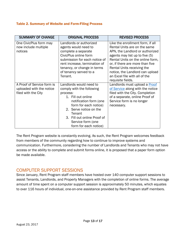#### Table 2. Summary of Website and Form-Filing Process

| <b>SUMMARY OF CHANGE</b>                                                      | <b>ORIGINAL PROCESS</b>                                                                                                                                                                                                                                    | <b>REVISED PROCESS</b>                                                                                                                                                                                                                     |
|-------------------------------------------------------------------------------|------------------------------------------------------------------------------------------------------------------------------------------------------------------------------------------------------------------------------------------------------------|--------------------------------------------------------------------------------------------------------------------------------------------------------------------------------------------------------------------------------------------|
| One CivicPlus form may<br>now include multiple<br>notices                     | Landlords or authorized<br>agents would need to<br>complete a separate<br>CivicPlus online form<br>submission for each notice of<br>rent increase, termination of<br>tenancy, or change in terms                                                           | Like the enrollment form, if all<br>Rental Units are on the same<br>APN, the Landlord or authorized<br>agents may list up to five (5)<br>Rental Units on the online form.<br>or, if there are more than five<br>Rental Units receiving the |
|                                                                               | of tenancy served to a<br>Tenant.                                                                                                                                                                                                                          | notice, the Landlord can upload<br>an Excel file with all of the<br>requisite fields.                                                                                                                                                      |
| A Proof of Service form is<br>uploaded with the notice<br>filed with the City | Landlords would need to<br>comply with the following<br>process:<br>1. Fill out online<br>notification form (one<br>form for each notice)<br>2. Serve notice on the<br>Tenant<br>3. Fill out online Proof of<br>Service form (one<br>form for each notice) | Landlords must upload a Proof<br>of Service along with the notice<br>filed with the City. Completion<br>of a separate, online Proof of<br>Service form is no longer<br>necessary.                                                          |

The Rent Program website is constantly evolving. As such, the Rent Program welcomes feedback from members of the community regarding how to continue to improve systems and communication. Furthermore, considering the number of Landlords and Tenants who may not have access or the ability to complete and submit forms online, it is proposed that a paper form option be made available.

#### COMPUTER SUPPORT SESSIONS

Since January, Rent Program staff members have hosted over 140 computer support sessions to assist Tenants, Landlords, and Property Managers with the completion of online forms. The average amount of time spent on a computer support session is approximately 50 minutes, which equates to over 116 hours of individual, one-on-one assistance provided by Rent Program staff members.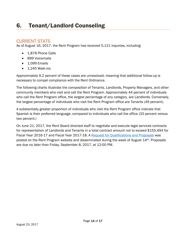# 6. Tenant/Landlord Counseling

## CURRENT STATS

As of August 16, 2017, the Rent Program has received 5,121 inquiries, including:

- 1,878 Phone Calls
- 899 Voicemails
- 1,099 Emails
- $\bullet$  1,245 Walk-ins

Approximately 9.2 percent of these cases are unresolved, meaning that additional follow-up is necessary to compel compliance with the Rent Ordinance.

The following charts illustrate the composition of Tenants, Landlords, Property Managers, and other community members who visit and call the Rent Program. Approximately 44 percent of individuals who call the Rent Program office, the largest percentage of any category, are Landlords. Conversely, the largest percentage of individuals who visit the Rent Program office are Tenants (49 percent).

A substantially greater proportion of individuals who visit the Rent Program office indicate that Spanish is their preferred language, compared to individuals who call the office (33 percent versus two percent.)

On June 21, 2017, the Rent Board directed staff to negotiate and execute legal services contracts for representation of Landlords and Tenants in a total contract amount not to exceed \$155,494 for Fiscal Year 2016-17 and Fiscal Year 2017-18. A [Request for Qualifications and Proposals](http://www.ci.richmond.ca.us/DocumentCenter/View/43632) was posted on the Rent Program website and disseminated during the week of August 14<sup>th</sup>. Proposals are due no later than Friday, September 8, 2017, at 12:00 PM.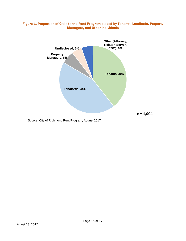#### Figure 1. Proportion of Calls to the Rent Program placed by Tenants, Landlords, Property Managers, and Other Individuals



Source: City of Richmond Rent Program, August 2017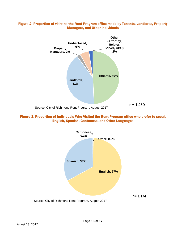

#### Figure 2. Proportion of visits to the Rent Program office made by Tenants, Landlords, Property Managers, and Other Individuals

Figure 3. Proportion of Individuals Who Visited the Rent Program office who prefer to speak English, Spanish, Cantonese, and Other Languages